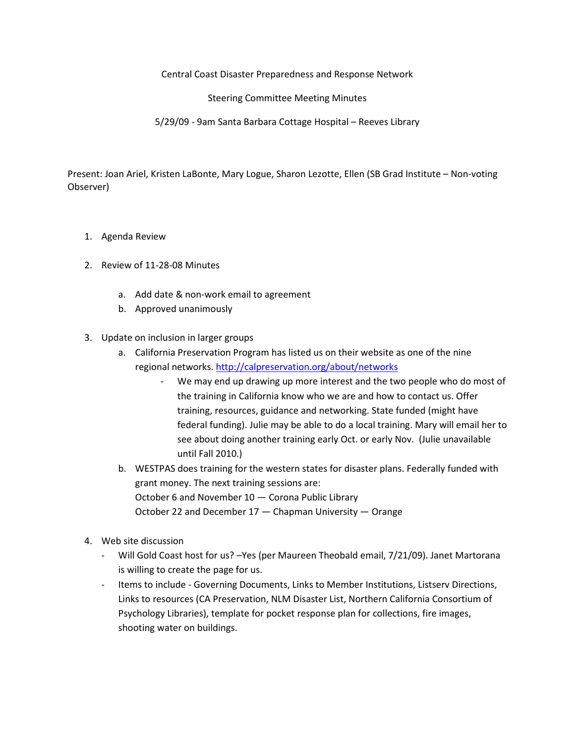Central Coast Disaster Preparedness and Response Network

Steering Committee Meeting Minutes

5/29/09 - 9am Santa Barbara Cottage Hospital – Reeves Library

Present: Joan Ariel, Kristen LaBonte, Mary Logue, Sharon Lezotte, Ellen (SB Grad Institute – Non-voting Observer)

- 1. Agenda Review
- 2. Review of 11-28-08 Minutes
	- a. Add date & non-work email to agreement
	- b. Approved unanimously
- 3. Update on inclusion in larger groups
	- a. California Preservation Program has listed us on their website as one of the nine regional networks. http://calpreservation.org/about/networks
		- We may end up drawing up more interest and the two people who do most of the training in California know who we are and how to contact us. Offer training, resources, guidance and networking. State funded (might have federal funding). Julie may be able to do a local training. Mary will email her to see about doing another training early Oct. or early Nov. (Julie unavailable until Fall 2010.)
	- b. WESTPAS does training for the western states for disaster plans. Federally funded with grant money. The next training sessions are: October 6 and November 10 — Corona Public Library October 22 and December 17 — Chapman University — Orange
- 4. Web site discussion
	- Will Gold Coast host for us? Yes (per Maureen Theobald email, 7/21/09). Janet Martorana is willing to create the page for us.
	- Items to include Governing Documents, Links to Member Institutions, Listserv Directions, Links to resources (CA Preservation, NLM Disaster List, Northern California Consortium of Psychology Libraries), template for pocket response plan for collections, fire images, shooting water on buildings.